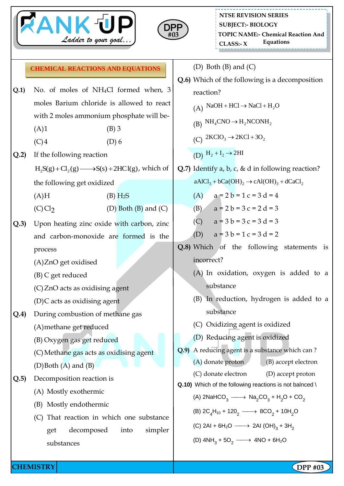



|      | <b>CHEMICAL REACTIONS AND EQUATIONS</b>                       | (D) Both $(B)$ and $(C)$                                                                                                                                                                                                             |  |  |  |
|------|---------------------------------------------------------------|--------------------------------------------------------------------------------------------------------------------------------------------------------------------------------------------------------------------------------------|--|--|--|
|      |                                                               | Q.6) Which of the following is a decomposition                                                                                                                                                                                       |  |  |  |
| Q.1  | No. of moles of NH <sub>4</sub> Cl formed when, 3             | reaction?<br>(A) NaOH + HCl $\rightarrow$ NaCl + H <sub>2</sub> O                                                                                                                                                                    |  |  |  |
|      | moles Barium chloride is allowed to react                     |                                                                                                                                                                                                                                      |  |  |  |
|      | with 2 moles ammonium phosphate will be-                      | (B) $NH_4CNO \rightarrow H_2NCONH_2$                                                                                                                                                                                                 |  |  |  |
|      | (A)1<br>$(B)$ 3                                               | (C) $2KClO_3 \rightarrow 2KCl + 3O_2$                                                                                                                                                                                                |  |  |  |
|      | (C)4<br>$(D)$ 6                                               |                                                                                                                                                                                                                                      |  |  |  |
| Q.2  | If the following reaction                                     | (D) $H_2 + I_2 \rightarrow 2HI$                                                                                                                                                                                                      |  |  |  |
|      | $H_2S(g) + Cl_2(g) \longrightarrow S(s) + 2HCl(g)$ , which of | Q.7) Identify a, b, c, & d in following reaction?                                                                                                                                                                                    |  |  |  |
|      | the following get oxidized                                    | $aAICl_3 + bCa(OH)_2 \rightarrow cAl(OH)_3 + dCaCl_2$                                                                                                                                                                                |  |  |  |
|      | (A)H<br>$(B)$ H <sub>2</sub> S                                | (A) $a = 2b = 1c = 3d = 4$                                                                                                                                                                                                           |  |  |  |
|      | $(C)$ Cl <sub>2</sub><br>(D) Both $(B)$ and $(C)$             | $a = 2 b = 3 c = 2 d = 3$<br>(B)                                                                                                                                                                                                     |  |  |  |
| Q.3) | Upon heating zinc oxide with carbon, zinc                     | (C) $a = 3b = 3c = 3d = 3$                                                                                                                                                                                                           |  |  |  |
|      | and carbon-monoxide are formed is the                         | $a = 3 b = 1 c = 3 d = 2$<br>(D)                                                                                                                                                                                                     |  |  |  |
|      | process                                                       | Q.8) Which of the following statements is                                                                                                                                                                                            |  |  |  |
|      | (A)ZnO get oxidised                                           | incorrect?                                                                                                                                                                                                                           |  |  |  |
|      | (B) C get reduced                                             | (A) In oxidation, oxygen is added to a                                                                                                                                                                                               |  |  |  |
|      | (C) ZnO acts as oxidising agent                               | substance                                                                                                                                                                                                                            |  |  |  |
|      | (D)C acts as oxidising agent                                  | (B) In reduction, hydrogen is added to a                                                                                                                                                                                             |  |  |  |
| Q.4) | During combustion of methane gas                              | substance                                                                                                                                                                                                                            |  |  |  |
|      | (A) methane get reduced                                       | (C) Oxidizing agent is oxidized                                                                                                                                                                                                      |  |  |  |
|      | (B) Oxygen gas get reduced                                    | (D) Reducing agent is oxidized                                                                                                                                                                                                       |  |  |  |
|      | (C) Methane gas acts as oxidising agent                       | Q.9) A reducing agent is a substance which can?                                                                                                                                                                                      |  |  |  |
|      | $(D)$ Both $(A)$ and $(B)$                                    | (A) donate proton<br>(B) accept electron                                                                                                                                                                                             |  |  |  |
| Q.5  | Decomposition reaction is                                     | (C) donate electron<br>(D) accept proton                                                                                                                                                                                             |  |  |  |
|      | (A) Mostly exothermic                                         | Q.10) Which of the following reactions is not balnced \<br>(A) 2NaHCO <sub>3</sub> $\longrightarrow$ Na <sub>2</sub> CO <sub>3</sub> + H <sub>2</sub> O + CO <sub>2</sub><br>(B) $2C_4H_{10} + 120_2 \longrightarrow 8CO_2 + 10H_2O$ |  |  |  |
|      | Mostly endothermic<br>(B)                                     |                                                                                                                                                                                                                                      |  |  |  |
|      | That reaction in which one substance<br>(C)                   |                                                                                                                                                                                                                                      |  |  |  |
|      | simpler<br>decomposed<br>into<br>get                          | (C) 2Al + 6H <sub>2</sub> O $\longrightarrow$ 2Al (OH) <sub>3</sub> + 3H <sub>2</sub>                                                                                                                                                |  |  |  |
|      | substances                                                    | (D) $4NH_3 + 5O_2 \longrightarrow 4NO + 6H_2O$                                                                                                                                                                                       |  |  |  |
|      |                                                               |                                                                                                                                                                                                                                      |  |  |  |

**CHEMISTRY DPP** #03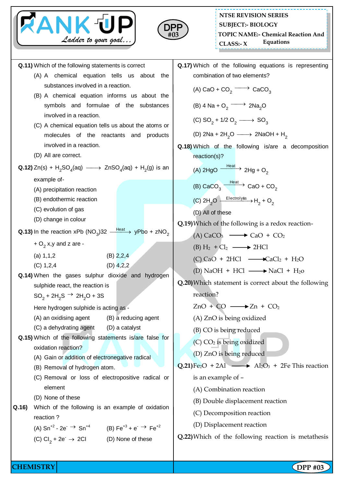



**Q.11)** Which of the following statements is correct (A) A chemical equation tells us about the substances involved in a reaction. (B) A chemical equation informs us about the symbols and formulae of the substances involved in a reaction. (C) A chemical equation tells us about the atoms or molecules of the reactants and products involved in a reaction. (D) All are correct. **Q.12)** Zn(s) +  $H_2SO_4$ (aq)  $\longrightarrow$  ZnSO<sub>4</sub>(aq) +  $H_2$ (g) is an example of- (A) precipitation reaction (B) endothermic reaction (C) evolution of gas (D) change in colour **Q.13)** In the reaction xPb (NO<sub>3</sub>)32  $\frac{\text{Heat}}{\text{heat}}$  yPbo + zNO<sub>2</sub> +  $O_2$  x,y and z are -(a)  $1,1,2$  (B)  $2,2,4$ (C) 1,2,4 (D) 4,2,2 **Q.14)** When the gases sulphur dioxide and hydrogen sulphide react, the reaction is  $SO_2 + 2H_2S \rightarrow 2H_2O + 3S$ Here hydrogen sulphide is acting as - (A) an oxidising agent (B) a reducing agent (C) a dehydrating agent (D) a catalyst **Q.15)** Which of the following statements is/are false for oxidation reaction? (A) Gain or addition of electronegative radical (B) Removal of hydrogen atom. (C) Removal or loss of electropositive radical or element (D) None of these **Q.16)** Which of the following is an example of oxidation reaction ? (A)  $\text{Sn}^{+2}$  - 2e<sup>-</sup>  $\rightarrow$ Sn<sup>+4</sup> (B) Fe<sup>+3</sup> + e<sup>-</sup>  $\rightarrow$  Fe<sup>+2</sup>  $(C)$  Cl<sub>2</sub> + 2e<sup>-</sup>  $\rightarrow$ (D) None of these **Q.17)** Which of the following equations is representing combination of two elements? (A) CaO + CO<sub>2</sub>  $\longrightarrow$  CaCO<sub>3</sub> (B)  $4 \text{ Na} + \text{O}_2 \longrightarrow 2 \text{Na}_2\text{O}$ (C)  $SO_2 + 1/2 O_2 \longrightarrow SO_3$ (D) 2Na + 2H<sub>2</sub>O  $\longrightarrow$  2NaOH + H<sub>2</sub> **Q.18)** Which of the following is/are a decomposition reaction(s)? (A) 2HgO  $\xrightarrow{\text{Heat}}$  2Hg + O<sub>2</sub> (B) CaCO<sub>3</sub>  $\xrightarrow{\text{Heat}}$  CaO + CO<sub>2</sub> (C)  $2H_2O \xrightarrow{\text{Electrolyss}} H_2 + O_2$ (D) All of these **Q.19)**Which of the following is a redox reaction- (A)  $CaCO<sub>3</sub> \longrightarrow CaO + CO<sub>2</sub>$  $(B) H_2 + Cl_2 \longrightarrow 2HCl$  $(C)$  CaO + 2HCl  $\longrightarrow$  CaCl<sub>2</sub> + H<sub>2</sub>O (D) NaOH + HCl  $\longrightarrow$  NaCl + H<sub>2</sub>o **Q.20)**Which statement is correct about the following reaction?  $ZnO + CO \longrightarrow Zn + CO<sub>2</sub>$ (A) ZnO is being oxidized (B) CO is being reduced (C)  $CO<sub>2</sub>$  is being oxidized (D) ZnO is being reduced  $Q.21$ }Fe<sub>2</sub>O + 2Al  $\longrightarrow$  Al<sub>2</sub>O<sub>3</sub> + 2Fe This reaction is an example of – (A) Combination reaction (B) Double displacement reaction (C) Decomposition reaction (D) Displacement reaction **Q.22)**Which of the following reaction is metathesis

**CHEMISTRY DPP #03**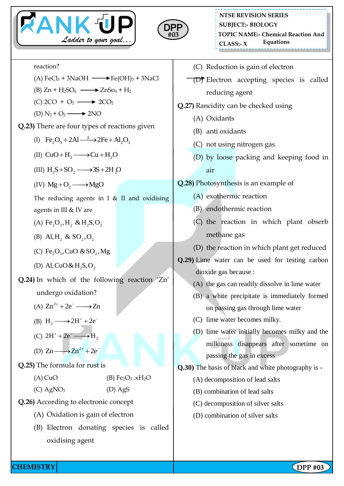



\_\_\_\_\_\_\_\_\_\_\_\_\_\_\_\_\_\_\_\_

| reaction?                                                                              | (C) Reduction is gain of electron                                                           |  |  |
|----------------------------------------------------------------------------------------|---------------------------------------------------------------------------------------------|--|--|
| (A) $FeCl3 + 3NaOH \longrightarrow Fe(OH)3 + 3NaCl$                                    | <b>(D)</b> Electron accepting species is called                                             |  |  |
| (B) $Zn + H_2SO_4 \longrightarrow ZnSo_4 + H_2$                                        | reducing agent                                                                              |  |  |
| $(C)$ 2CO + O <sub>2</sub> $\longrightarrow$ 2CO <sub>2</sub>                          | Q.27) Rancidity can be checked using                                                        |  |  |
| (D) $N_2 + O_2 \longrightarrow 2NO$                                                    | (A) Oxidants                                                                                |  |  |
| Q.23) There are four types of reactions given                                          | (B) anti oxidants<br>(C) not using nitrogen gas<br>(D) by loose packing and keeping food in |  |  |
| (I) Fe, $O_3 + 2Al \xrightarrow{\Delta} 2Fe + Al_2O_3$                                 |                                                                                             |  |  |
| (II) $CuO + H_2 \longrightarrow Cu + H_2O$                                             |                                                                                             |  |  |
| (III) $H_2S + SO_2 \longrightarrow 3S + 2H_2O$                                         | air                                                                                         |  |  |
| (IV) $Mg + O_2 \longrightarrow MgO$                                                    | Q.28) Photosynthesis is an example of                                                       |  |  |
| The reducing agents in I $&$ II and oxidising                                          | (A) exothermic reaction                                                                     |  |  |
| agents in III $&$ IV are                                                               | (B) endothermic reaction                                                                    |  |  |
| (A) Fe <sub>2</sub> O <sub>3</sub> , H <sub>2</sub> & H <sub>2</sub> S, O <sub>2</sub> | (C) the reaction in which plant obserb                                                      |  |  |
| (B) Al, H <sub>2</sub> & SO <sub>2</sub> , O <sub>2</sub>                              | methane gas                                                                                 |  |  |
| (C) Fe <sub>2</sub> O <sub>3</sub> , CuO & SO <sub>2</sub> , Mg                        | (D) the reaction in which plant get reduced                                                 |  |  |
| (D) Al, CuO & H <sub>2</sub> S, O <sub>2</sub>                                         | Q.29) Lime water can be used for testing carbon                                             |  |  |
|                                                                                        | dioxide gas because :                                                                       |  |  |
| Q.24) In which of the following reaction 'Zn'                                          | (A) the gas can readily dissolve in lime water                                              |  |  |
| undergo oxidation?                                                                     | (B) a white precipitate is immediately formed                                               |  |  |
| (A) $Zn^{2+} + 2e^- \longrightarrow Zn$                                                | on passing gas through lime water                                                           |  |  |
| (B) $H_2 \longrightarrow 2H^+ + 2e^-$                                                  | (C) lime water becomes milky.                                                               |  |  |
| (C) $2H^+ + 2e^- \longrightarrow H_2$                                                  | (D) lime water initially becomes milky and the                                              |  |  |
| (D) $Zn \longrightarrow Zn^{2+} + 2e^-$                                                | milkiness disappears after sometime on                                                      |  |  |
| <b>Q.25)</b> The formula for rust is                                                   | passing the gas in excess                                                                   |  |  |
| $(A)$ CuO<br>(B) $Fe2O3$ .xH <sub>2</sub> O                                            | Q.30) The basis of black and white photography is -<br>(A) decomposition of lead salts      |  |  |
| $(C)$ AgNO <sub>3</sub><br>$(D)$ AgS                                                   | (B) combination of lead salts                                                               |  |  |
| Q.26) According to electronic concept                                                  | (C) decomposition of silver salts                                                           |  |  |
| (A) Oxidation is gain of electron                                                      | (D) combination of silver salts                                                             |  |  |
| Electron donating species is called<br>(B)                                             |                                                                                             |  |  |
| oxidising agent                                                                        |                                                                                             |  |  |
|                                                                                        |                                                                                             |  |  |

**CHEMISTRY DPP** #03